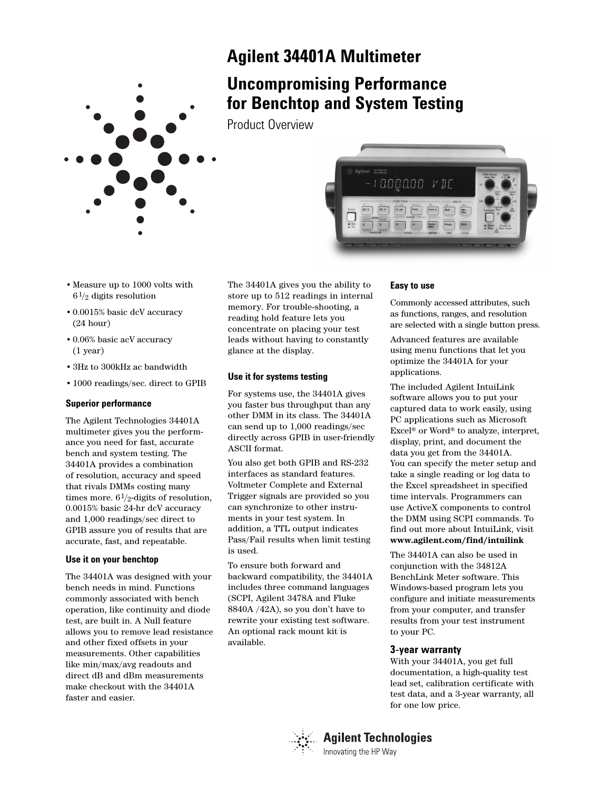

# **Agilent 34401A Multimeter**

# **Uncompromising Performance for Benchtop and System Testing**

Product Overview



- •Measure up to 1000 volts with  $6\frac{1}{2}$  digits resolution
- •0.0015% basic dcV accuracy (24 hour)
- •0.06% basic acV accuracy (1 year)
- •3Hz to 300kHz ac bandwidth
- •1000 readings/sec. direct to GPIB

# **Superior performance**

The Agilent Technologies 34401A multimeter gives you the performance you need for fast, accurate bench and system testing. The 34401A provides a combination of resolution, accuracy and speed that rivals DMMs costing many times more.  $6\frac{1}{2}$ -digits of resolution, 0.0015% basic 24-hr dcV accuracy and 1,000 readings/sec direct to GPIB assure you of results that are accurate, fast, and repeatable.

# **Use it on your benchtop**

The 34401A was designed with your bench needs in mind. Functions commonly associated with bench operation, like continuity and diode test, are built in. A Null feature allows you to remove lead resistance and other fixed offsets in your measurements. Other capabilities like min/max/avg readouts and direct dB and dBm measurements make checkout with the 34401A faster and easier.

The 34401A gives you the ability to store up to 512 readings in internal memory. For trouble-shooting, a reading hold feature lets you concentrate on placing your test leads without having to constantly glance at the display.

# **Use it for systems testing**

For systems use, the 34401A gives you faster bus throughput than any other DMM in its class. The 34401A can send up to 1,000 readings/sec directly across GPIB in user-friendly ASCII format.

You also get both GPIB and RS-232 interfaces as standard features. Voltmeter Complete and External Trigger signals are provided so you can synchronize to other instruments in your test system. In addition, a TTL output indicates Pass/Fail results when limit testing is used.

To ensure both forward and backward compatibility, the 34401A includes three command languages (SCPI, Agilent 3478A and Fluke 8840A /42A), so you don't have to rewrite your existing test software. An optional rack mount kit is available.

# **Easy to use**

Commonly accessed attributes, such as functions, ranges, and resolution are selected with a single button press.

Advanced features are available using menu functions that let you optimize the 34401A for your applications.

The included Agilent IntuiLink software allows you to put your captured data to work easily, using PC applications such as Microsoft Excel® or Word® to analyze, interpret, display, print, and document the data you get from the 34401A. You can specify the meter setup and take a single reading or log data to the Excel spreadsheet in specified time intervals. Programmers can use ActiveX components to control the DMM using SCPI commands. To find out more about IntuiLink, visit **www.agilent.com/find/intuilink** 

The 34401A can also be used in conjunction with the 34812A BenchLink Meter software. This Windows-based program lets you configure and initiate measurements from your computer, and transfer results from your test instrument to your PC.

# **3-year warranty**

With your 34401A, you get full documentation, a high-quality test lead set, calibration certificate with test data, and a 3-year warranty, all for one low price.



# **Agilent Technologies** Innovating the HP Way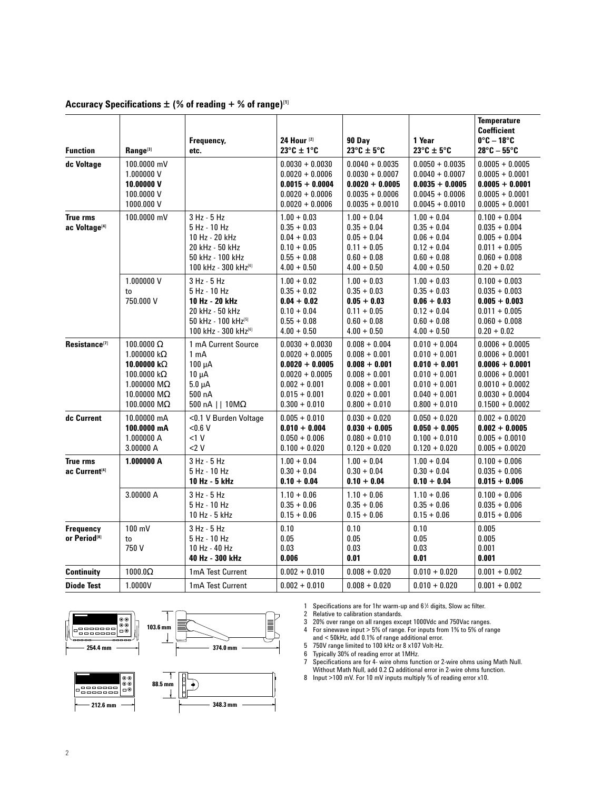| <b>Function</b>                              | Range <sup>[3]</sup>                                                                                                                               | Frequency,<br>etc.                                                                                                          | 24 Hour <sup>[2]</sup><br>$23^{\circ}$ C ± 1 $^{\circ}$ C                                                                                 | 90 Day<br>$23^{\circ}$ C ± 5°C                                                                                                    | 1 Year<br>$23^{\circ}$ C ± 5°C                                                                                                    | <b>Temperature</b><br><b>Coefficient</b><br>$0^\circ$ C – 18 $^\circ$ C<br>$28^{\circ}$ C – 55 $^{\circ}$ C                                     |
|----------------------------------------------|----------------------------------------------------------------------------------------------------------------------------------------------------|-----------------------------------------------------------------------------------------------------------------------------|-------------------------------------------------------------------------------------------------------------------------------------------|-----------------------------------------------------------------------------------------------------------------------------------|-----------------------------------------------------------------------------------------------------------------------------------|-------------------------------------------------------------------------------------------------------------------------------------------------|
| dc Voltage                                   | 100.0000 mV<br>1.000000 V<br>10.00000 V<br>100.0000 V<br>1000.000 V                                                                                |                                                                                                                             | $0.0030 + 0.0030$<br>$0.0020 + 0.0006$<br>$0.0015 + 0.0004$<br>$0.0020 + 0.0006$<br>$0.0020 + 0.0006$                                     | $0.0040 + 0.0035$<br>$0.0030 + 0.0007$<br>$0.0020 + 0.0005$<br>$0.0035 + 0.0006$<br>$0.0035 + 0.0010$                             | $0.0050 + 0.0035$<br>$0.0040 + 0.0007$<br>$0.0035 + 0.0005$<br>$0.0045 + 0.0006$<br>$0.0045 + 0.0010$                             | $0.0005 + 0.0005$<br>$0.0005 + 0.0001$<br>$0.0005 + 0.0001$<br>$0.0005 + 0.0001$<br>$0.0005 + 0.0001$                                           |
| <b>True rms</b><br>ac Voltage <sup>[4]</sup> | 100.0000 mV                                                                                                                                        | 3 Hz - 5 Hz<br>5 Hz - 10 Hz<br>10 Hz - 20 kHz<br>20 kHz - 50 kHz<br>50 kHz - 100 kHz<br>100 kHz - 300 kHz[6]                | $1.00 + 0.03$<br>$0.35 + 0.03$<br>$0.04 + 0.03$<br>$0.10 + 0.05$<br>$0.55 + 0.08$<br>$4.00 + 0.50$                                        | $1.00 + 0.04$<br>$0.35 + 0.04$<br>$0.05 + 0.04$<br>$0.11 + 0.05$<br>$0.60 + 0.08$<br>$4.00 + 0.50$                                | $1.00 + 0.04$<br>$0.35 + 0.04$<br>$0.06 + 0.04$<br>$0.12 + 0.04$<br>$0.60 + 0.08$<br>$4.00 + 0.50$                                | $0.100 + 0.004$<br>$0.035 + 0.004$<br>$0.005 + 0.004$<br>$0.011 + 0.005$<br>$0.060 + 0.008$<br>$0.20 + 0.02$                                    |
|                                              | 1.000000 V<br>to<br>750.000 V                                                                                                                      | 3 Hz - 5 Hz<br>5 Hz - 10 Hz<br>10 Hz - 20 kHz<br>20 kHz - 50 kHz<br>50 kHz - 100 kHz <sup>[5]</sup><br>100 kHz - 300 kHz[6] | $1.00 + 0.02$<br>$0.35 + 0.02$<br>$0.04 + 0.02$<br>$0.10 + 0.04$<br>$0.55 + 0.08$<br>$4.00 + 0.50$                                        | $1.00 + 0.03$<br>$0.35 + 0.03$<br>$0.05 + 0.03$<br>$0.11 + 0.05$<br>$0.60 + 0.08$<br>$4.00 + 0.50$                                | $1.00 + 0.03$<br>$0.35 + 0.03$<br>$0.06 + 0.03$<br>$0.12 + 0.04$<br>$0.60 + 0.08$<br>$4.00 + 0.50$                                | $0.100 + 0.003$<br>$0.035 + 0.003$<br>$0.005 + 0.003$<br>$0.011 + 0.005$<br>$0.060 + 0.008$<br>$0.20 + 0.02$                                    |
| Resistance <sup>[7]</sup>                    | 100.0000 Ω<br>1.000000 k $\Omega$<br>10.00000 k $\Omega$<br>100.0000 $k\Omega$<br>1.000000 $M\Omega$<br>10.00000 M $\Omega$<br>100.0000 M $\Omega$ | 1 mA Current Source<br>1 <sub>m</sub> A<br>$100 \mu A$<br>$10 \mu A$<br>$5.0 \mu A$<br>500 nA<br>500 nA     $10M\Omega$     | $0.0030 + 0.0030$<br>$0.0020 + 0.0005$<br>$0.0020 + 0.0005$<br>$0.0020 + 0.0005$<br>$0.002 + 0.001$<br>$0.015 + 0.001$<br>$0.300 + 0.010$ | $0.008 + 0.004$<br>$0.008 + 0.001$<br>$0.008 + 0.001$<br>$0.008 + 0.001$<br>$0.008 + 0.001$<br>$0.020 + 0.001$<br>$0.800 + 0.010$ | $0.010 + 0.004$<br>$0.010 + 0.001$<br>$0.010 + 0.001$<br>$0.010 + 0.001$<br>$0.010 + 0.001$<br>$0.040 + 0.001$<br>$0.800 + 0.010$ | $0.0006 + 0.0005$<br>$0.0006 + 0.0001$<br>$0.0006 + 0.0001$<br>$0.0006 + 0.0001$<br>$0.0010 + 0.0002$<br>$0.0030 + 0.0004$<br>$0.1500 + 0.0002$ |
| dc Current                                   | 10.00000 mA<br>100.0000 mA<br>1.000000 A<br>3.00000 A                                                                                              | <0.1 V Burden Voltage<br>< 0.6 V<br><1 V<br>$<$ 2 V                                                                         | $0.005 + 0.010$<br>$0.010 + 0.004$<br>$0.050 + 0.006$<br>$0.100 + 0.020$                                                                  | $0.030 + 0.020$<br>$0.030 + 0.005$<br>$0.080 + 0.010$<br>$0.120 + 0.020$                                                          | $0.050 + 0.020$<br>$0.050 + 0.005$<br>$0.100 + 0.010$<br>$0.120 + 0.020$                                                          | $0.002 + 0.0020$<br>$0.002 + 0.0005$<br>$0.005 + 0.0010$<br>$0.005 + 0.0020$                                                                    |
| <b>True rms</b><br>ac Current <sup>[4]</sup> | 1.000000 A                                                                                                                                         | 3 Hz - 5 Hz<br>5 Hz - 10 Hz<br>10 Hz - 5 kHz                                                                                | $1.00 + 0.04$<br>$0.30 + 0.04$<br>$0.10 + 0.04$                                                                                           | $1.00 + 0.04$<br>$0.30 + 0.04$<br>$0.10 + 0.04$                                                                                   | $1.00 + 0.04$<br>$0.30 + 0.04$<br>$0.10 + 0.04$                                                                                   | $0.100 + 0.006$<br>$0.035 + 0.006$<br>$0.015 + 0.006$                                                                                           |
|                                              | 3.00000 A                                                                                                                                          | 3 Hz - 5 Hz<br>5 Hz - 10 Hz<br>10 Hz - 5 kHz                                                                                | $1.10 + 0.06$<br>$0.35 + 0.06$<br>$0.15 + 0.06$                                                                                           | $1.10 + 0.06$<br>$0.35 + 0.06$<br>$0.15 + 0.06$                                                                                   | $1.10 + 0.06$<br>$0.35 + 0.06$<br>$0.15 + 0.06$                                                                                   | $0.100 + 0.006$<br>$0.035 + 0.006$<br>$0.015 + 0.006$                                                                                           |
| Frequency<br>or Period <sup>[8]</sup>        | $100 \text{ mV}$<br>to<br>750 V                                                                                                                    | 3 Hz - 5 Hz<br>5 Hz - 10 Hz<br>10 Hz - 40 Hz<br>40 Hz - 300 kHz                                                             | 0.10<br>0.05<br>0.03<br>0.006                                                                                                             | 0.10<br>0.05<br>0.03<br>0.01                                                                                                      | 0.10<br>0.05<br>0.03<br>0.01                                                                                                      | 0.005<br>0.005<br>0.001<br>0.001                                                                                                                |
| <b>Continuity</b>                            | 1000.0 $\Omega$                                                                                                                                    | 1mA Test Current                                                                                                            | $0.002 + 0.010$                                                                                                                           | $0.008 + 0.020$                                                                                                                   | $0.010 + 0.020$                                                                                                                   | $0.001 + 0.002$                                                                                                                                 |
| <b>Diode Test</b>                            | 1.0000V                                                                                                                                            | 1mA Test Current                                                                                                            | $0.002 + 0.010$                                                                                                                           | $0.008 + 0.020$                                                                                                                   | $0.010 + 0.020$                                                                                                                   | $0.001 + 0.002$                                                                                                                                 |

# **Accuracy Specifications ± (% of reading + % of range)[1]**



1 Specifications are for 1hr warm-up and 61 ⁄2 digits, Slow ac filter.

2 Relative to calibration standards.

3 20% over range on all ranges except 1000Vdc and 750Vac ranges.

4 For sinewave input > 5% of range. For inputs from 1% to 5% of range and < 50kHz, add 0.1% of range additional error.

5 750V range limited to 100 kHz or 8 x107 Volt-Hz.

6 Typically 30% of reading error at 1MHz.

7 Specifications are for 4- wire ohms function or 2-wire ohms using Math Null. Without Math Null, add 0.2 Ω additional error in 2-wire ohms function.

8 Input >100 mV. For 10 mV inputs multiply % of reading error x10.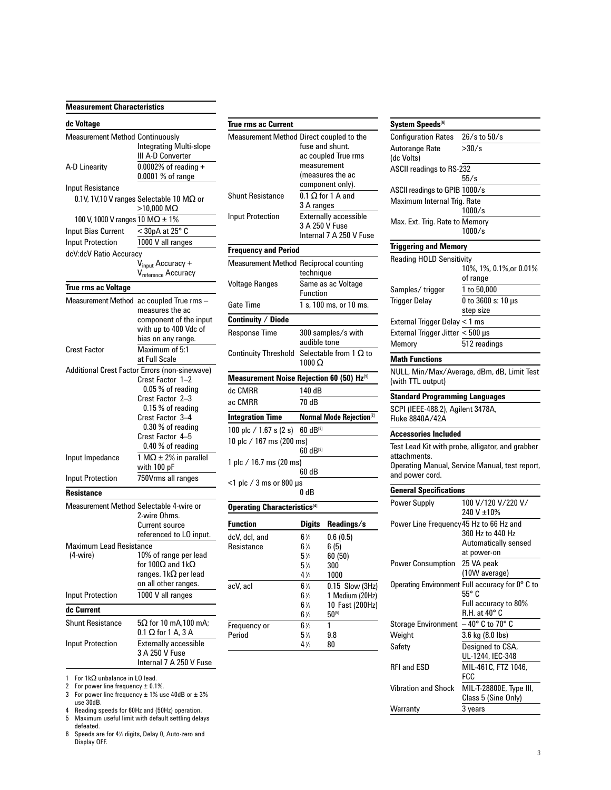### **Measurement Characteristics**

#### **dc Voltage**

| <b>Measurement Method Continuously</b>  |                                                |  |  |
|-----------------------------------------|------------------------------------------------|--|--|
|                                         | Integrating Multi-slope                        |  |  |
|                                         | III A-D Converter                              |  |  |
| A-D Linearity                           | $0.0002\%$ of reading +                        |  |  |
|                                         | 0.0001 % of range                              |  |  |
| Input Resistance                        |                                                |  |  |
|                                         | 0.1V, 1V,10 V ranges Selectable 10 MΩ or       |  |  |
|                                         | $>10,000$ M $\Omega$                           |  |  |
| 100 V, 1000 V ranges 10 M $\Omega$ ± 1% |                                                |  |  |
| <b>Input Bias Current</b>               | $<$ 30pA at 25 $^{\circ}$ C                    |  |  |
| <b>Input Protection</b>                 | 1000 V all ranges                              |  |  |
| dcV:dcV Ratio Accuracy                  |                                                |  |  |
|                                         | V <sub>input</sub> Accuracy +                  |  |  |
|                                         | V <sub>reference</sub> Accuracy                |  |  |
| <b>True rms ac Voltage</b>              |                                                |  |  |
|                                         |                                                |  |  |
| Measurement Method                      | ac coupled True rms -<br>measures the ac       |  |  |
|                                         | component of the input                         |  |  |
|                                         | with up to 400 Vdc of                          |  |  |
|                                         | bias on any range.                             |  |  |
| <b>Crest Factor</b>                     | Maximum of 5:1                                 |  |  |
|                                         | at Full Scale                                  |  |  |
|                                         | Additional Crest Factor Errors (non-sinewave)  |  |  |
|                                         | Crest Factor 1-2                               |  |  |
|                                         | 0.05 % of reading                              |  |  |
|                                         | Crest Factor 2-3                               |  |  |
|                                         | 0.15 % of reading                              |  |  |
|                                         | Crest Factor 3-4<br>0.30 % of reading          |  |  |
|                                         | Crest Factor 4-5                               |  |  |
|                                         | 0.40 % of reading                              |  |  |
| Input Impedance                         | 1 M $\Omega$ ± 2% in parallel                  |  |  |
|                                         | with 100 pF                                    |  |  |
| <b>Input Protection</b>                 | 750Vrms all ranges                             |  |  |
|                                         |                                                |  |  |
| Resistance                              |                                                |  |  |
| Measurement Method Selectable 4-wire or |                                                |  |  |
|                                         | 2-wire Ohms.                                   |  |  |
|                                         | Current source<br>referenced to LO input.      |  |  |
| <b>Maximum Lead Resistance</b>          |                                                |  |  |
| (4-wire)                                | 10% of range per lead                          |  |  |
|                                         | for 100 $\Omega$ and 1k $\Omega$               |  |  |
|                                         | ranges. 1k $\Omega$ per lead                   |  |  |
|                                         | on all other ranges.                           |  |  |
| <b>Input Protection</b>                 | 1000 V all ranges                              |  |  |
| dc Current                              |                                                |  |  |
|                                         |                                                |  |  |
| <b>Shunt Resistance</b>                 | $5\Omega$ for 10 mA,100 mA;                    |  |  |
|                                         | $0.1 \Omega$ for 1 A, 3 A                      |  |  |
| <b>Input Protection</b>                 | <b>Externally accessible</b><br>3 A 250 V Fuse |  |  |
|                                         | Internal 7 A 250 V Fuse                        |  |  |
|                                         |                                                |  |  |

1 For 1kΩ unbalance in LO lead.

2 For power line frequency ± 0.1%.

3 For power line frequency  $\pm$  1% use 40dB or  $\pm$  3% use 30dB.

4 Reading speeds for 60Hz and (50Hz) operation.

5 Maximum useful limit with default settling delays defeated.

6 Speeds are for 41 ⁄2 digits, Delay 0, Auto-zero and Display OFF.

| True rms ac Current                       |                                          |                                             |  |  |
|-------------------------------------------|------------------------------------------|---------------------------------------------|--|--|
|                                           | Measurement Method Direct coupled to the |                                             |  |  |
|                                           | fuse and shunt.                          |                                             |  |  |
|                                           |                                          | ac coupled True rms                         |  |  |
|                                           | measurement                              |                                             |  |  |
|                                           |                                          | (measures the ac                            |  |  |
|                                           | component only).                         |                                             |  |  |
| Shunt Resistance                          | $0.1 \Omega$ for 1 A and<br>3 A ranges   |                                             |  |  |
| Input Protection                          | <b>Externally accessible</b>             |                                             |  |  |
|                                           | 3 A 250 V Fuse                           |                                             |  |  |
|                                           |                                          | Internal 7 A 250 V Fuse                     |  |  |
| <b>Frequency and Period</b>               |                                          |                                             |  |  |
| Measurement Method Reciprocal counting    | technique                                |                                             |  |  |
| <b>Voltage Ranges</b>                     | Same as ac Voltage                       |                                             |  |  |
|                                           | <b>Function</b>                          |                                             |  |  |
| Gate Time                                 | 1 s, 100 ms, or 10 ms.                   |                                             |  |  |
| <b>Continuity / Diode</b>                 |                                          |                                             |  |  |
| Response Time                             |                                          | 300 samples/s with                          |  |  |
|                                           | audible tone                             |                                             |  |  |
| Continuity Threshold                      |                                          | Selectable from 1 $\Omega$ to               |  |  |
|                                           | 1000 $\Omega$                            |                                             |  |  |
| Measurement Noise Rejection 60 (50) Hz[1] |                                          |                                             |  |  |
| dc CMRR                                   | 140 dB                                   |                                             |  |  |
| ac CMRR                                   | 70 dB                                    |                                             |  |  |
| <b>Integration Time</b>                   |                                          | <b>Normal Mode Rejection</b> <sup>[2]</sup> |  |  |
| 100 plc / 1.67 s (2 s)                    | $60 \text{ dB}^{[3]}$                    |                                             |  |  |
| 10 plc / 167 ms (200 ms)                  |                                          |                                             |  |  |
|                                           | $60 \text{ dB}^{[3]}$                    |                                             |  |  |
| 1 plc / 16.7 ms (20 ms)                   |                                          |                                             |  |  |
|                                           | 60 dB                                    |                                             |  |  |
| <1 plc / 3 ms or 800 µs                   | 0 dB                                     |                                             |  |  |
|                                           |                                          |                                             |  |  |
| <b>Operating Characteristics</b> [4]      |                                          |                                             |  |  |
| Function                                  | <b>Digits</b>                            | Readings/s                                  |  |  |
| dcV, dcl, and                             | $6\frac{1}{2}$                           | 0.6(0.5)                                    |  |  |
| Resistance                                | 6½                                       | 6 (5)                                       |  |  |
|                                           | 5½                                       | 60 (50)                                     |  |  |
|                                           | $5\%$                                    | 300                                         |  |  |
|                                           | 4½                                       | 1000                                        |  |  |
| acV, acl                                  | $6\frac{1}{2}$                           | Slow (3Hz)<br>0.15                          |  |  |
|                                           | $6\frac{1}{2}$                           | 1 Medium (20Hz)                             |  |  |
|                                           | 6½                                       | 10 Fast (200Hz)                             |  |  |
|                                           | $6\,\%$                                  | 50[5]                                       |  |  |
| Frequency or                              | 6½                                       | 1                                           |  |  |
| Period                                    | $5\%$                                    | 9.8                                         |  |  |
|                                           | 4½                                       | 80                                          |  |  |
|                                           |                                          |                                             |  |  |

| System Speeds[6]                                                                                                   |                                                                   |  |  |  |  |  |
|--------------------------------------------------------------------------------------------------------------------|-------------------------------------------------------------------|--|--|--|--|--|
| <b>Configuration Rates</b>                                                                                         | 26/s to 50/s                                                      |  |  |  |  |  |
| Autorange Rate<br>(dc Volts)                                                                                       | >30/s                                                             |  |  |  |  |  |
| <b>ASCII readings to RS-232</b>                                                                                    |                                                                   |  |  |  |  |  |
| 55/s                                                                                                               |                                                                   |  |  |  |  |  |
| ASCII readings to GPIB 1000/s                                                                                      |                                                                   |  |  |  |  |  |
| Maximum Internal Trig. Rate<br>1000/s                                                                              |                                                                   |  |  |  |  |  |
| Max. Ext. Trig. Rate to Memory<br>1000/s                                                                           |                                                                   |  |  |  |  |  |
| <b>Triggering and Memory</b>                                                                                       |                                                                   |  |  |  |  |  |
| <b>Reading HOLD Sensitivity</b>                                                                                    |                                                                   |  |  |  |  |  |
|                                                                                                                    | 10%, 1%, 0.1%, or 0.01%<br>of range                               |  |  |  |  |  |
| Samples/trigger                                                                                                    | 1 to 50,000                                                       |  |  |  |  |  |
| <b>Trigger Delay</b>                                                                                               | 0 to 3600 s: 10 µs<br>step size                                   |  |  |  |  |  |
| External Trigger Delay < 1 ms                                                                                      |                                                                   |  |  |  |  |  |
| External Trigger Jitter < 500 µs                                                                                   |                                                                   |  |  |  |  |  |
| Memory                                                                                                             | 512 readings                                                      |  |  |  |  |  |
| <b>Math Functions</b>                                                                                              |                                                                   |  |  |  |  |  |
| (with TTL output)                                                                                                  | NULL, Min/Max/Average, dBm, dB, Limit Test                        |  |  |  |  |  |
| <b>Standard Programming Languages</b>                                                                              |                                                                   |  |  |  |  |  |
| SCPI (IEEE-488.2), Agilent 3478A,<br>Fluke 8840A/42A                                                               |                                                                   |  |  |  |  |  |
| <b>Accessories Included</b>                                                                                        |                                                                   |  |  |  |  |  |
|                                                                                                                    |                                                                   |  |  |  |  |  |
| Test Lead Kit with probe, alligator, and grabber<br>attachments.<br>Operating Manual, Service Manual, test report, |                                                                   |  |  |  |  |  |
| and power cord.                                                                                                    |                                                                   |  |  |  |  |  |
| <b>General Specifications</b>                                                                                      |                                                                   |  |  |  |  |  |
| <b>Power Supply</b>                                                                                                | 100 V/120 V/220 V/                                                |  |  |  |  |  |
|                                                                                                                    | 240 V ±10%                                                        |  |  |  |  |  |
| Power Line Frequency 45 Hz to 66 Hz and                                                                            |                                                                   |  |  |  |  |  |
|                                                                                                                    | 360 Hz to 440 Hz                                                  |  |  |  |  |  |
|                                                                                                                    | Automatically sensed<br>at power-on                               |  |  |  |  |  |
| <b>Power Consumption</b>                                                                                           | 25 VA peak                                                        |  |  |  |  |  |
|                                                                                                                    | (10W average)                                                     |  |  |  |  |  |
|                                                                                                                    | Operating Environment Full accuracy for 0° C to<br>$55^{\circ}$ C |  |  |  |  |  |
|                                                                                                                    | Full accuracy to 80%<br>R.H. at 40° C                             |  |  |  |  |  |
| Storage Environment                                                                                                | $-40^{\circ}$ C to 70° C                                          |  |  |  |  |  |
| Weight                                                                                                             | 3.6 kg (8.0 lbs)                                                  |  |  |  |  |  |
| Safety                                                                                                             | Designed to CSA,<br>UL-1244, IEC-348                              |  |  |  |  |  |
| <b>RFI and ESD</b>                                                                                                 | MIL-461C, FTZ 1046,<br>FCC                                        |  |  |  |  |  |
| <b>Vibration and Shock</b>                                                                                         | MIL-T-28800E, Type III,<br>Class 5 (Sine Only)                    |  |  |  |  |  |
| Warranty                                                                                                           | 3 years                                                           |  |  |  |  |  |